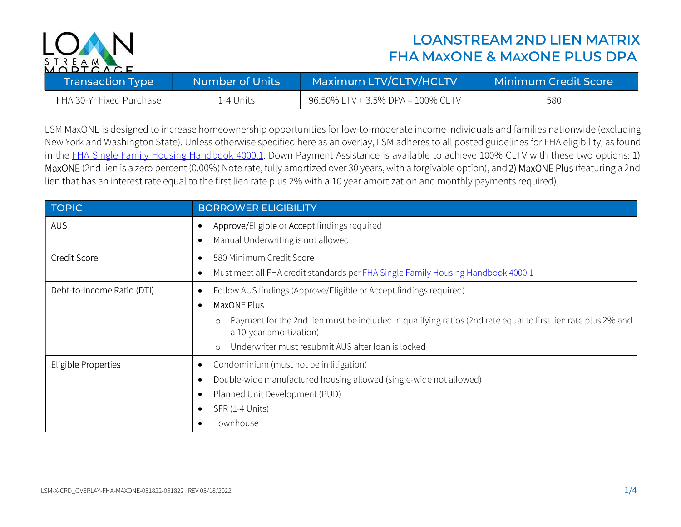

## LOANSTREAM 2ND LIEN MATRIX FHA MAXONE & MAXONE PLUS DPA

| <b>Transaction Type</b>  | Number of Units | Maximum LTV/CLTV/HCLTV            | <b>Minimum Credit Score</b> |
|--------------------------|-----------------|-----------------------------------|-----------------------------|
| FHA 30-Yr Fixed Purchase | 1-4 Units       | 96.50% LTV + 3.5% DPA = 100% CLTV | 580                         |

LSM MaxONE is designed to increase homeownership opportunities for low-to-moderate income individuals and families nationwide (excluding New York and Washington State). Unless otherwise specified here as an overlay, LSM adheres to all posted guidelines for FHA eligibility, as found in the FHA Single Family Housing Handbook 4000.1. Down Payment Assistance is available to achieve 100% CLTV with these two options: 1) MaxONE (2nd lien is a zero percent (0.00%) Note rate, fully amortized over 30 years, with a forgivable option), and 2) MaxONE Plus (featuring a 2nd lien that has an interest rate equal to the first lien rate plus 2% with a 10 year amortization and monthly payments required).

| <b>TOPIC</b>               | <b>BORROWER ELIGIBILITY</b>                                                                                                                         |
|----------------------------|-----------------------------------------------------------------------------------------------------------------------------------------------------|
| <b>AUS</b>                 | Approve/Eligible or Accept findings required<br>$\bullet$                                                                                           |
|                            | Manual Underwriting is not allowed<br>$\bullet$                                                                                                     |
| <b>Credit Score</b>        | 580 Minimum Credit Score<br>$\bullet$                                                                                                               |
|                            | Must meet all FHA credit standards per FHA Single Family Housing Handbook 4000.1<br>$\bullet$                                                       |
| Debt-to-Income Ratio (DTI) | Follow AUS findings (Approve/Eligible or Accept findings required)<br>٠                                                                             |
|                            | MaxONE Plus<br>$\bullet$                                                                                                                            |
|                            | Payment for the 2nd lien must be included in qualifying ratios (2nd rate equal to first lien rate plus 2% and<br>$\circ$<br>a 10-year amortization) |
|                            | Underwriter must resubmit AUS after loan is locked<br>$\circ$                                                                                       |
| <b>Eligible Properties</b> | Condominium (must not be in litigation)<br>٠                                                                                                        |
|                            | Double-wide manufactured housing allowed (single-wide not allowed)<br>$\bullet$                                                                     |
|                            | Planned Unit Development (PUD)<br>$\bullet$                                                                                                         |
|                            | SFR (1-4 Units)<br>$\bullet$                                                                                                                        |
|                            | Townhouse<br>٠                                                                                                                                      |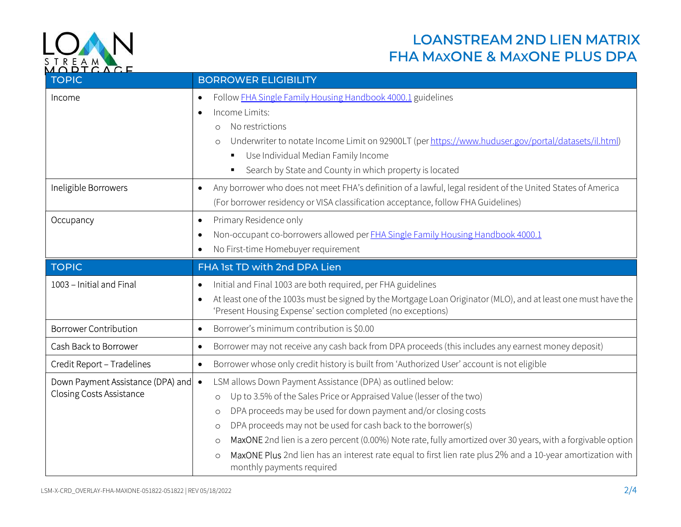

## LOANSTREAM 2ND LIEN MATRIX ENGLAMENT WEIGHT AND STREAM MAXONE & MAXONE PLUS DPA

| <b>TOPIC</b>                                                         | <b>BORROWER ELIGIBILITY</b>                                                                                                                                                                                                                                                                                                                                                             |
|----------------------------------------------------------------------|-----------------------------------------------------------------------------------------------------------------------------------------------------------------------------------------------------------------------------------------------------------------------------------------------------------------------------------------------------------------------------------------|
| Income                                                               | Follow <b>FHA Single Family Housing Handbook 4000.1</b> guidelines<br>$\bullet$<br>Income Limits:<br>$\bullet$<br>No restrictions<br>$\circ$<br>Underwriter to notate Income Limit on 92900LT (per https://www.huduser.gov/portal/datasets/il.html)<br>$\circ$<br>Use Individual Median Family Income<br>$\blacksquare$<br>Search by State and County in which property is located<br>Ξ |
| Ineligible Borrowers                                                 | Any borrower who does not meet FHA's definition of a lawful, legal resident of the United States of America<br>$\bullet$<br>(For borrower residency or VISA classification acceptance, follow FHA Guidelines)                                                                                                                                                                           |
| Occupancy                                                            | Primary Residence only<br>$\bullet$<br>Non-occupant co-borrowers allowed per <b>FHA Single Family Housing Handbook 4000.1</b><br>$\bullet$<br>No First-time Homebuyer requirement<br>٠                                                                                                                                                                                                  |
| <b>TOPIC</b>                                                         | FHA 1st TD with 2nd DPA Lien                                                                                                                                                                                                                                                                                                                                                            |
| 1003 - Initial and Final                                             | Initial and Final 1003 are both required, per FHA guidelines<br>$\bullet$<br>At least one of the 1003s must be signed by the Mortgage Loan Originator (MLO), and at least one must have the<br>$\bullet$<br>'Present Housing Expense' section completed (no exceptions)                                                                                                                 |
| <b>Borrower Contribution</b>                                         | Borrower's minimum contribution is \$0.00<br>$\bullet$                                                                                                                                                                                                                                                                                                                                  |
| Cash Back to Borrower                                                | Borrower may not receive any cash back from DPA proceeds (this includes any earnest money deposit)<br>$\bullet$                                                                                                                                                                                                                                                                         |
| Credit Report - Tradelines                                           | Borrower whose only credit history is built from 'Authorized User' account is not eligible<br>$\bullet$                                                                                                                                                                                                                                                                                 |
| Down Payment Assistance (DPA) and<br><b>Closing Costs Assistance</b> | LSM allows Down Payment Assistance (DPA) as outlined below:<br>$\bullet$<br>Up to 3.5% of the Sales Price or Appraised Value (lesser of the two)<br>$\circ$                                                                                                                                                                                                                             |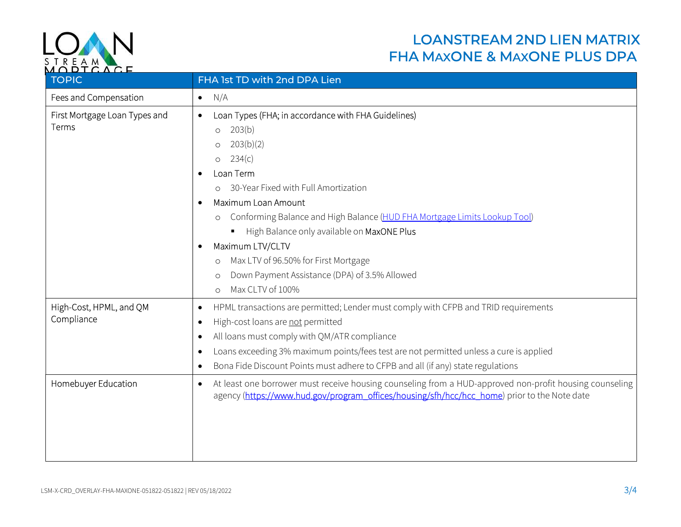

## LOANSTREAM 2ND LIEN MATRIX ENEAM NATIONAL PLUS DPA<br>MODT CACE

| <b>TOPIC</b>                           | FHA 1st TD with 2nd DPA Lien                                                                                                                                                                                                                                                                                                                                                                                                                                                                                                                                                  |  |
|----------------------------------------|-------------------------------------------------------------------------------------------------------------------------------------------------------------------------------------------------------------------------------------------------------------------------------------------------------------------------------------------------------------------------------------------------------------------------------------------------------------------------------------------------------------------------------------------------------------------------------|--|
| Fees and Compensation                  | N/A<br>$\bullet$                                                                                                                                                                                                                                                                                                                                                                                                                                                                                                                                                              |  |
| First Mortgage Loan Types and<br>Terms | Loan Types (FHA; in accordance with FHA Guidelines)<br>$\bullet$<br>203(b)<br>$\circ$<br>203(b)(2)<br>$\circ$<br>234(c)<br>$\circ$<br>Loan Term<br>$\bullet$<br>30-Year Fixed with Full Amortization<br>$\circ$<br>Maximum Loan Amount<br>$\bullet$<br>Conforming Balance and High Balance (HUD FHA Mortgage Limits Lookup Tool)<br>$\circ$<br>High Balance only available on MaxONE Plus<br>П<br>Maximum LTV/CLTV<br>$\bullet$<br>Max LTV of 96.50% for First Mortgage<br>$\circ$<br>Down Payment Assistance (DPA) of 3.5% Allowed<br>$\circ$<br>Max CLTV of 100%<br>$\circ$ |  |
| High-Cost, HPML, and QM<br>Compliance  | HPML transactions are permitted; Lender must comply with CFPB and TRID requirements<br>$\bullet$<br>High-cost loans are not permitted<br>$\bullet$<br>All loans must comply with QM/ATR compliance<br>$\bullet$<br>Loans exceeding 3% maximum points/fees test are not permitted unless a cure is applied<br>$\bullet$<br>Bona Fide Discount Points must adhere to CFPB and all (if any) state regulations<br>$\bullet$                                                                                                                                                       |  |
| Homebuyer Education                    | At least one borrower must receive housing counseling from a HUD-approved non-profit housing counseling<br>$\bullet$<br>agency (https://www.hud.gov/program_offices/housing/sfh/hcc/hcc_home) prior to the Note date                                                                                                                                                                                                                                                                                                                                                          |  |